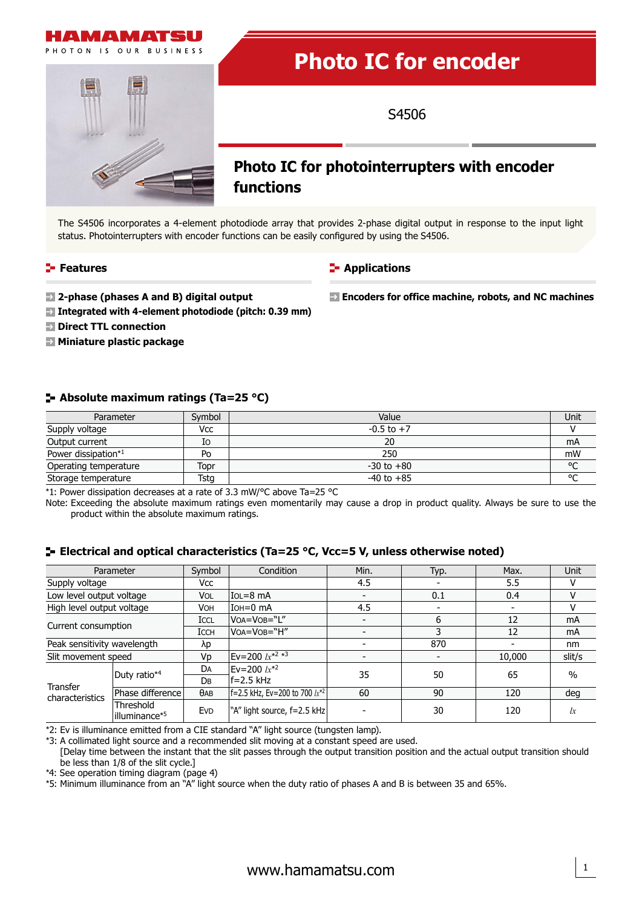

# **Photo IC for encoder**

S4506

**Encoders for office machine, robots, and NC machines**

## **Photo IC for photointerrupters with encoder functions**

The S4506 incorporates a 4-element photodiode array that provides 2-phase digital output in response to the input light status. Photointerrupters with encoder functions can be easily configured by using the S4506.

#### **Features**

#### **E-** Applications

- **2-phase (phases A and B) digital output**
- **Integrated with 4-element photodiode (pitch: 0.39 mm)**
- $\blacksquare$  **Direct TTL connection**
- **Miniature plastic package**

#### **Absolute maximum ratings (Ta=25 °C)**

| Parameter             | Symbol | Value          | Unit    |
|-----------------------|--------|----------------|---------|
| Supply voltage        | Vcc    | $-0.5$ to $+7$ |         |
| Output current        | Io     | 20             | mA      |
| Power dissipation*1   | Po     | 250            | mW      |
| Operating temperature | Topr   | $-30$ to $+80$ | $\circ$ |
| Storage temperature   | Tstg   | $-40$ to $+85$ | $\sim$  |

\*1: Power dissipation decreases at a rate of 3.3 mW/°C above Ta=25 °C

Note: Exceeding the absolute maximum ratings even momentarily may cause a drop in product quality. Always be sure to use the product within the absolute maximum ratings.

## **Electrical and optical characteristics (Ta=25 °C, Vcc=5 V, unless otherwise noted)**

|                             | Parameter                               | Symbol      | Condition                               | Min. | Typ. | Max.   | Unit     |
|-----------------------------|-----------------------------------------|-------------|-----------------------------------------|------|------|--------|----------|
| Supply voltage              |                                         | Vcc         |                                         | 4.5  |      | 5.5    | v        |
| Low level output voltage    |                                         | VOL         | $IOL = 8 mA$                            |      | 0.1  | 0.4    | v        |
| High level output voltage   |                                         | VOH         | IOH=0 mA                                | 4.5  |      |        | v        |
| Current consumption         |                                         | ICCL        | VOA=VOB="L"                             |      | 6    | 12     | mA       |
|                             |                                         | <b>ICCH</b> | VOA=VOB="H"                             |      |      | 12     | mA       |
| Peak sensitivity wavelength |                                         | λp          |                                         |      | 870  |        | nm       |
| Slit movement speed         |                                         | Vp          | Ev=200 $1x^{*2*3}$                      |      |      | 10,000 | slit/s   |
| Transfer<br>characteristics | Duty ratio*4                            | DA          | $Ev = 200 \; \text{lx}^{*2}$            | 35   | 50   | 65     | $\%$     |
|                             |                                         | DB.         | $ f=2.5$ kHz                            |      |      |        |          |
|                             | Phase difference                        | $\theta$ AB | $ f=2.5$ kHz, Ev=200 to 700 $ x^*{}^2 $ | 60   | 90   | 120    | deg      |
|                             | Threshold<br>lilluminance* <sup>5</sup> | <b>EVD</b>  | "A" light source, f=2.5 kHz             |      | 30   | 120    | $\alpha$ |

\*2: Ev is illuminance emitted from a CIE standard "A" light source (tungsten lamp).

\*3: A collimated light source and a recommended slit moving at a constant speed are used.

[Delay time between the instant that the slit passes through the output transition position and the actual output transition should be less than 1/8 of the slit cycle.]

\*4: See operation timing diagram (page 4)

\*5: Minimum illuminance from an "A" light source when the duty ratio of phases A and B is between 35 and 65%.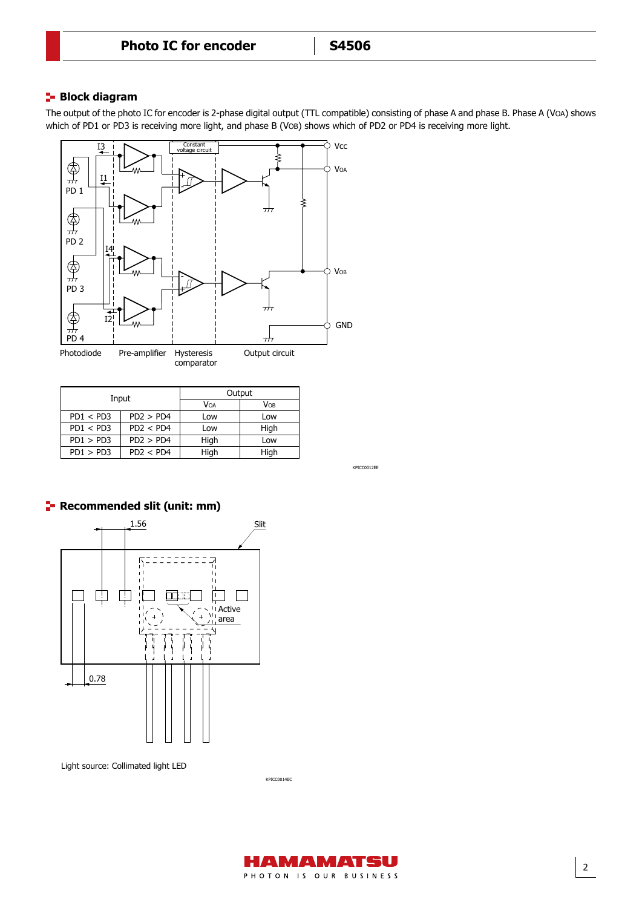## **Block diagram**

Block diagram

The output of the photo IC for encoder is 2-phase digital output (TTL compatible) consisting of phase A and phase B. Phase A (VOA) shows which of PD1 or PD3 is receiving more light, and phase B (VOB) shows which of PD2 or PD4 is receiving more light.



| Input     |           | Output |      |  |
|-----------|-----------|--------|------|--|
|           |           | VOA    | VOB  |  |
| PD1 < PD3 | PD2 > PD4 | Low    | Low  |  |
| PD1 < PD3 | PD2 < PD4 | Low    | High |  |
| PD1 > PD3 | PD2 > PD4 | High   | Low  |  |
| PD1 > PD3 | PD2 < PD4 | High   | High |  |

KPICC0012EE



Light source: Collimated light LED



KPICC0014EC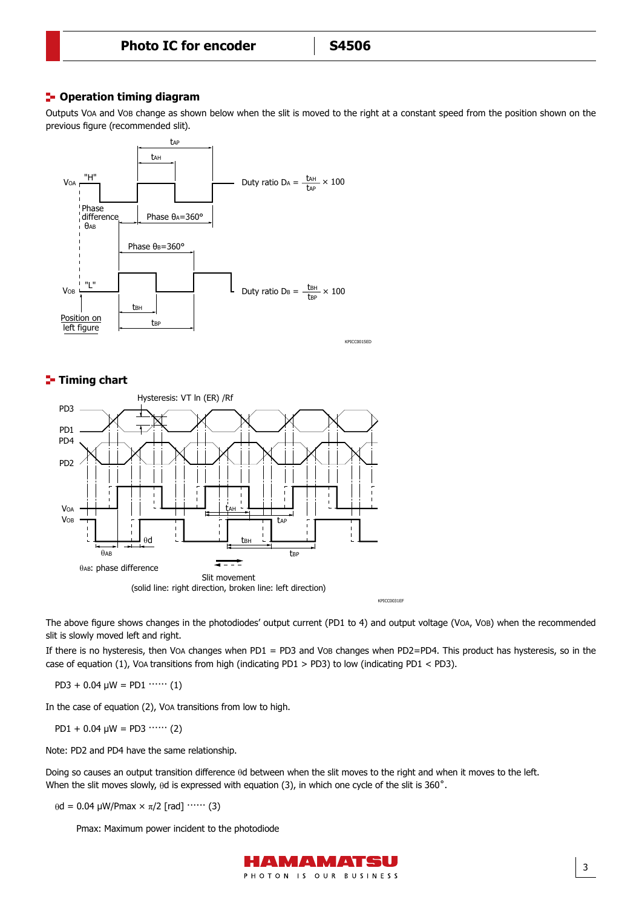## **P**-Operation timing diagram

Outputs VOA and VOB change as shown below when the slit is moved to the right at a constant speed from the position shown on the previous figure (recommended slit).



## **T**- Timing chart



The above figure shows changes in the photodiodes' output current (PD1 to 4) and output voltage (VOA, VOB) when the recommended slit is slowly moved left and right.

If there is no hysteresis, then VOA changes when PD1 = PD3 and VOB changes when PD2=PD4. This product has hysteresis, so in the case of equation (1), VOA transitions from high (indicating PD1 > PD3) to low (indicating PD1 < PD3).

 $PD3 + 0.04 \mu W = PD1$  …… (1)

In the case of equation (2), VOA transitions from low to high.

PD1 + 0.04  $\mu$ W = PD3  $\cdots$  (2)

Note: PD2 and PD4 have the same relationship.

Doing so causes an output transition difference θd between when the slit moves to the right and when it moves to the left. When the slit moves slowly, θd is expressed with equation (3), in which one cycle of the slit is 360˚.

 $\theta$ d = 0.04 μW/Pmax × π/2 [rad]  $\cdots$  (3)

Pmax: Maximum power incident to the photodiode

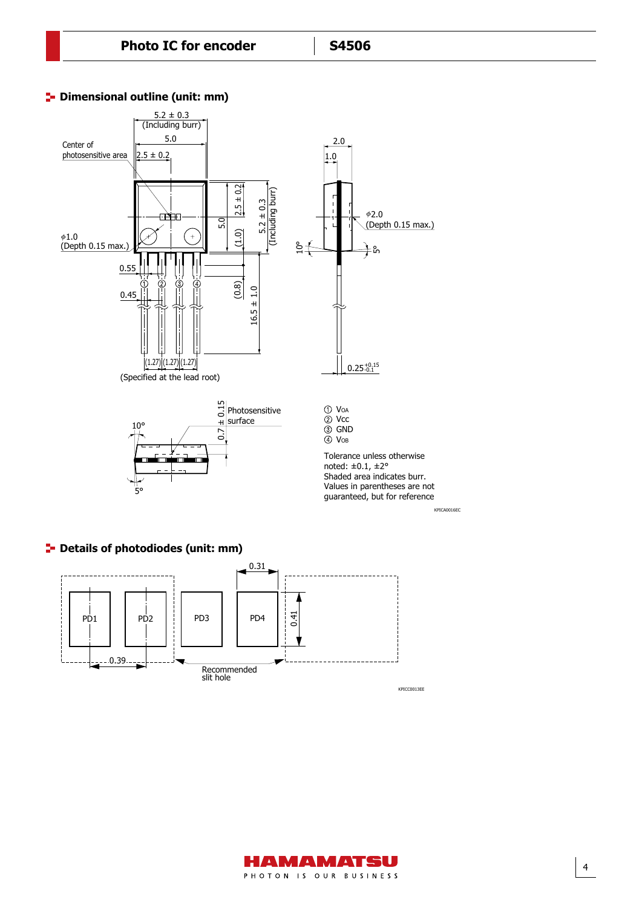

### **P** Dimensional outline (unit: mm)

## **P** Details of photodiodes (unit: mm)



HAMAMATSU PHOTON IS OUR BUSINESS

4